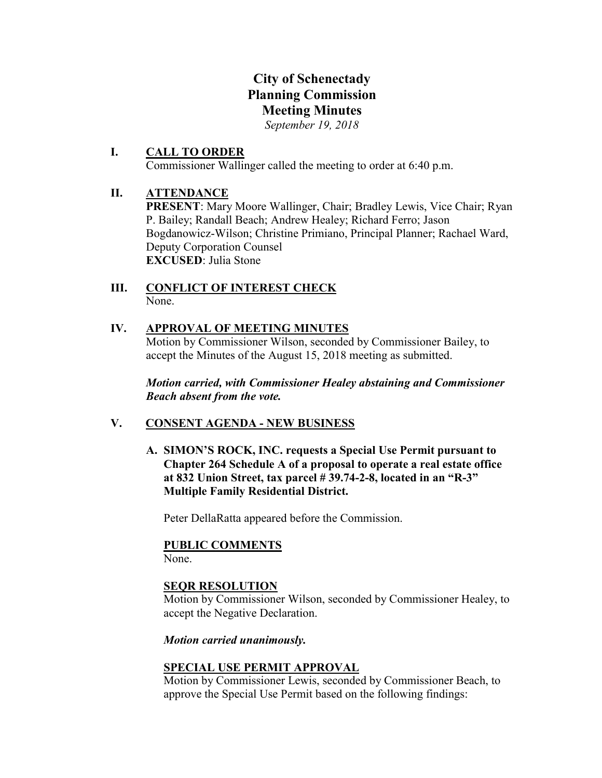# City of Schenectady Planning Commission Meeting Minutes

*September 19, 2018*

#### I. CALL TO ORDER Commissioner Wallinger called the meeting to order at 6:40 p.m.

## II. ATTENDANCE

PRESENT: Mary Moore Wallinger, Chair; Bradley Lewis, Vice Chair; Ryan P. Bailey; Randall Beach; Andrew Healey; Richard Ferro; Jason Bogdanowicz-Wilson; Christine Primiano, Principal Planner; Rachael Ward, Deputy Corporation Counsel EXCUSED: Julia Stone

#### III. CONFLICT OF INTEREST CHECK None.

### IV. APPROVAL OF MEETING MINUTES

Motion by Commissioner Wilson, seconded by Commissioner Bailey, to accept the Minutes of the August 15, 2018 meeting as submitted.

*Motion carried, with Commissioner Healey abstaining and Commissioner Beach absent from the vote.*

### V. CONSENT AGENDA - NEW BUSINESS

A. SIMON'S ROCK, INC. requests a Special Use Permit pursuant to Chapter 264 Schedule A of a proposal to operate a real estate office at 832 Union Street, tax parcel # 39.74-2-8, located in an "R-3" Multiple Family Residential District.

Peter DellaRatta appeared before the Commission.

#### PUBLIC COMMENTS

None.

#### SEQR RESOLUTION

Motion by Commissioner Wilson, seconded by Commissioner Healey, to accept the Negative Declaration.

#### *Motion carried unanimously.*

### SPECIAL USE PERMIT APPROVAL

Motion by Commissioner Lewis, seconded by Commissioner Beach, to approve the Special Use Permit based on the following findings: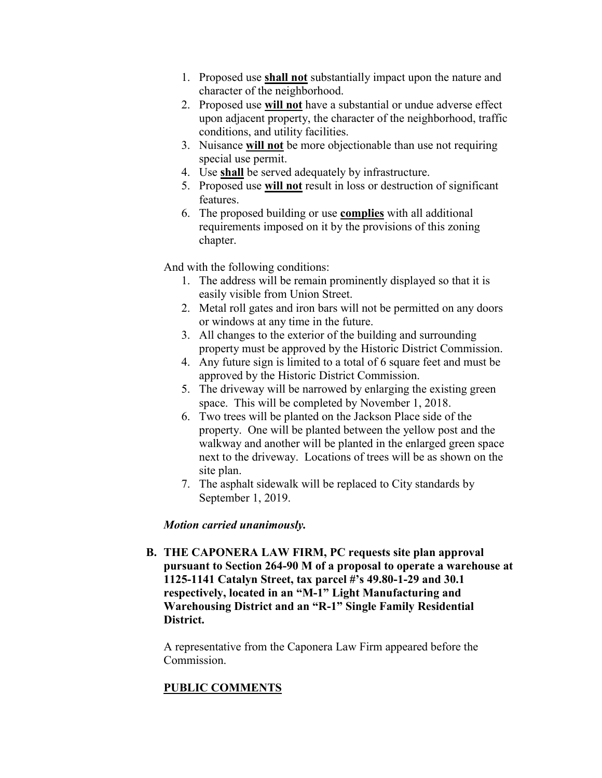- 1. Proposed use shall not substantially impact upon the nature and character of the neighborhood.
- 2. Proposed use will not have a substantial or undue adverse effect upon adjacent property, the character of the neighborhood, traffic conditions, and utility facilities.
- 3. Nuisance will not be more objectionable than use not requiring special use permit.
- 4. Use shall be served adequately by infrastructure.
- 5. Proposed use will not result in loss or destruction of significant features.
- 6. The proposed building or use complies with all additional requirements imposed on it by the provisions of this zoning chapter.

And with the following conditions:

- 1. The address will be remain prominently displayed so that it is easily visible from Union Street.
- 2. Metal roll gates and iron bars will not be permitted on any doors or windows at any time in the future.
- 3. All changes to the exterior of the building and surrounding property must be approved by the Historic District Commission.
- 4. Any future sign is limited to a total of 6 square feet and must be approved by the Historic District Commission.
- 5. The driveway will be narrowed by enlarging the existing green space. This will be completed by November 1, 2018.
- 6. Two trees will be planted on the Jackson Place side of the property. One will be planted between the yellow post and the walkway and another will be planted in the enlarged green space next to the driveway. Locations of trees will be as shown on the site plan.
- 7. The asphalt sidewalk will be replaced to City standards by September 1, 2019.

### *Motion carried unanimously.*

B. THE CAPONERA LAW FIRM, PC requests site plan approval pursuant to Section 264-90 M of a proposal to operate a warehouse at 1125-1141 Catalyn Street, tax parcel #'s 49.80-1-29 and 30.1 respectively, located in an "M-1" Light Manufacturing and Warehousing District and an "R-1" Single Family Residential District.

A representative from the Caponera Law Firm appeared before the Commission.

### PUBLIC COMMENTS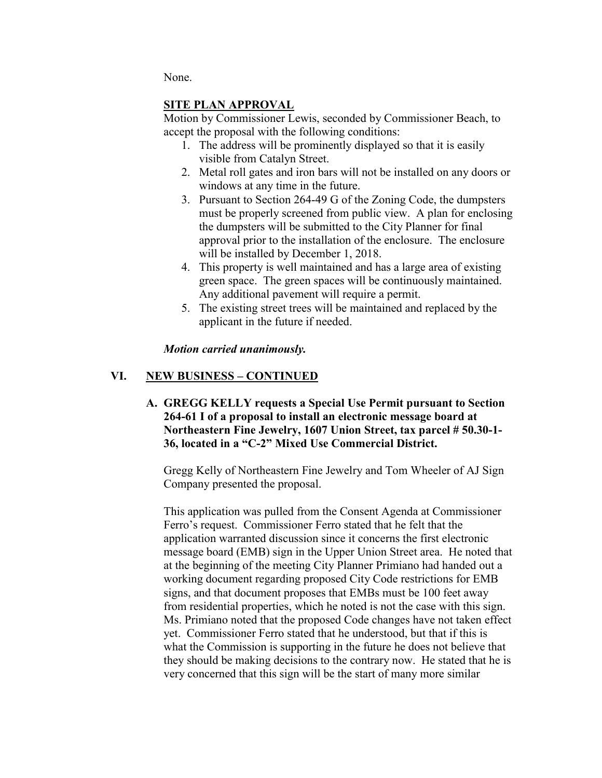None.

### SITE PLAN APPROVAL

Motion by Commissioner Lewis, seconded by Commissioner Beach, to accept the proposal with the following conditions:

- 1. The address will be prominently displayed so that it is easily visible from Catalyn Street.
- 2. Metal roll gates and iron bars will not be installed on any doors or windows at any time in the future.
- 3. Pursuant to Section 264-49 G of the Zoning Code, the dumpsters must be properly screened from public view. A plan for enclosing the dumpsters will be submitted to the City Planner for final approval prior to the installation of the enclosure. The enclosure will be installed by December 1, 2018.
- 4. This property is well maintained and has a large area of existing green space. The green spaces will be continuously maintained. Any additional pavement will require a permit.
- 5. The existing street trees will be maintained and replaced by the applicant in the future if needed.

### *Motion carried unanimously.*

### VI. NEW BUSINESS – CONTINUED

A. GREGG KELLY requests a Special Use Permit pursuant to Section 264-61 I of a proposal to install an electronic message board at Northeastern Fine Jewelry, 1607 Union Street, tax parcel # 50.30-1- 36, located in a "C-2" Mixed Use Commercial District.

Gregg Kelly of Northeastern Fine Jewelry and Tom Wheeler of AJ Sign Company presented the proposal.

This application was pulled from the Consent Agenda at Commissioner Ferro's request. Commissioner Ferro stated that he felt that the application warranted discussion since it concerns the first electronic message board (EMB) sign in the Upper Union Street area. He noted that at the beginning of the meeting City Planner Primiano had handed out a working document regarding proposed City Code restrictions for EMB signs, and that document proposes that EMBs must be 100 feet away from residential properties, which he noted is not the case with this sign. Ms. Primiano noted that the proposed Code changes have not taken effect yet. Commissioner Ferro stated that he understood, but that if this is what the Commission is supporting in the future he does not believe that they should be making decisions to the contrary now. He stated that he is very concerned that this sign will be the start of many more similar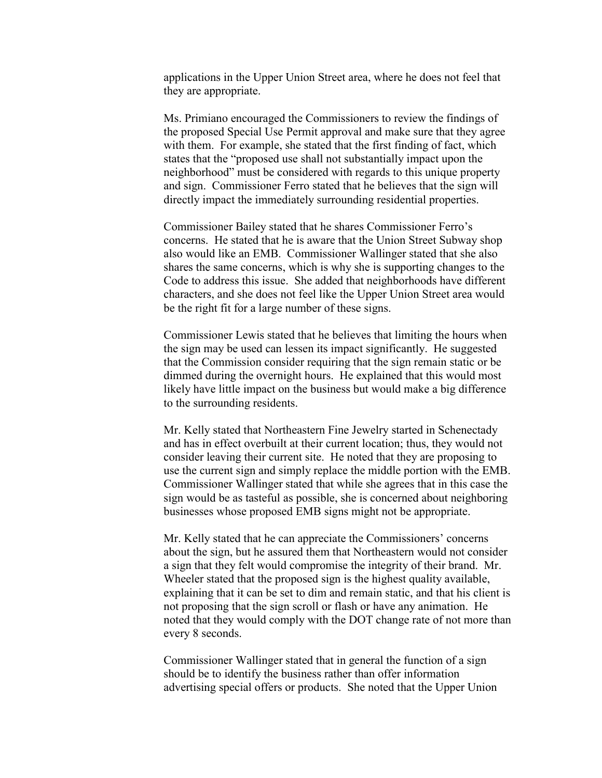applications in the Upper Union Street area, where he does not feel that they are appropriate.

Ms. Primiano encouraged the Commissioners to review the findings of the proposed Special Use Permit approval and make sure that they agree with them. For example, she stated that the first finding of fact, which states that the "proposed use shall not substantially impact upon the neighborhood" must be considered with regards to this unique property and sign. Commissioner Ferro stated that he believes that the sign will directly impact the immediately surrounding residential properties.

Commissioner Bailey stated that he shares Commissioner Ferro's concerns. He stated that he is aware that the Union Street Subway shop also would like an EMB. Commissioner Wallinger stated that she also shares the same concerns, which is why she is supporting changes to the Code to address this issue. She added that neighborhoods have different characters, and she does not feel like the Upper Union Street area would be the right fit for a large number of these signs.

Commissioner Lewis stated that he believes that limiting the hours when the sign may be used can lessen its impact significantly. He suggested that the Commission consider requiring that the sign remain static or be dimmed during the overnight hours. He explained that this would most likely have little impact on the business but would make a big difference to the surrounding residents.

Mr. Kelly stated that Northeastern Fine Jewelry started in Schenectady and has in effect overbuilt at their current location; thus, they would not consider leaving their current site. He noted that they are proposing to use the current sign and simply replace the middle portion with the EMB. Commissioner Wallinger stated that while she agrees that in this case the sign would be as tasteful as possible, she is concerned about neighboring businesses whose proposed EMB signs might not be appropriate.

Mr. Kelly stated that he can appreciate the Commissioners' concerns about the sign, but he assured them that Northeastern would not consider a sign that they felt would compromise the integrity of their brand. Mr. Wheeler stated that the proposed sign is the highest quality available, explaining that it can be set to dim and remain static, and that his client is not proposing that the sign scroll or flash or have any animation. He noted that they would comply with the DOT change rate of not more than every 8 seconds.

Commissioner Wallinger stated that in general the function of a sign should be to identify the business rather than offer information advertising special offers or products. She noted that the Upper Union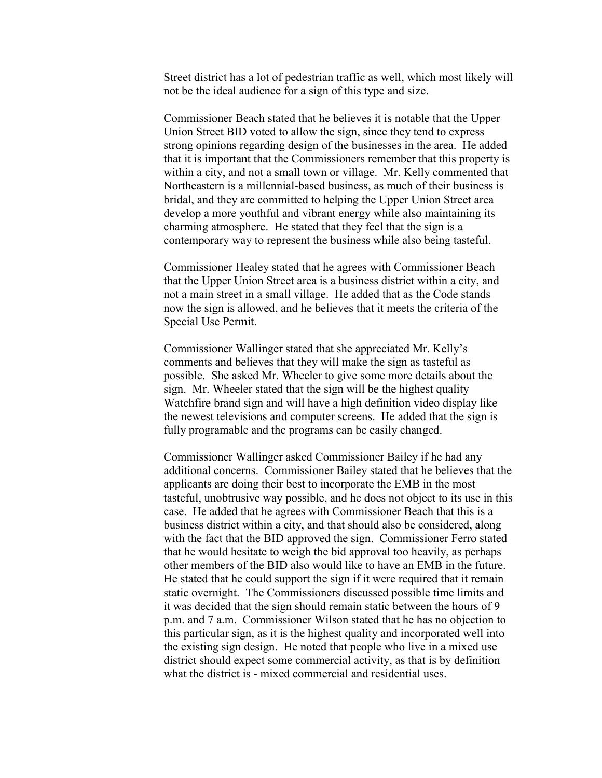Street district has a lot of pedestrian traffic as well, which most likely will not be the ideal audience for a sign of this type and size.

Commissioner Beach stated that he believes it is notable that the Upper Union Street BID voted to allow the sign, since they tend to express strong opinions regarding design of the businesses in the area. He added that it is important that the Commissioners remember that this property is within a city, and not a small town or village. Mr. Kelly commented that Northeastern is a millennial-based business, as much of their business is bridal, and they are committed to helping the Upper Union Street area develop a more youthful and vibrant energy while also maintaining its charming atmosphere. He stated that they feel that the sign is a contemporary way to represent the business while also being tasteful.

Commissioner Healey stated that he agrees with Commissioner Beach that the Upper Union Street area is a business district within a city, and not a main street in a small village. He added that as the Code stands now the sign is allowed, and he believes that it meets the criteria of the Special Use Permit.

Commissioner Wallinger stated that she appreciated Mr. Kelly's comments and believes that they will make the sign as tasteful as possible. She asked Mr. Wheeler to give some more details about the sign. Mr. Wheeler stated that the sign will be the highest quality Watchfire brand sign and will have a high definition video display like the newest televisions and computer screens. He added that the sign is fully programable and the programs can be easily changed.

Commissioner Wallinger asked Commissioner Bailey if he had any additional concerns. Commissioner Bailey stated that he believes that the applicants are doing their best to incorporate the EMB in the most tasteful, unobtrusive way possible, and he does not object to its use in this case. He added that he agrees with Commissioner Beach that this is a business district within a city, and that should also be considered, along with the fact that the BID approved the sign. Commissioner Ferro stated that he would hesitate to weigh the bid approval too heavily, as perhaps other members of the BID also would like to have an EMB in the future. He stated that he could support the sign if it were required that it remain static overnight. The Commissioners discussed possible time limits and it was decided that the sign should remain static between the hours of 9 p.m. and 7 a.m. Commissioner Wilson stated that he has no objection to this particular sign, as it is the highest quality and incorporated well into the existing sign design. He noted that people who live in a mixed use district should expect some commercial activity, as that is by definition what the district is - mixed commercial and residential uses.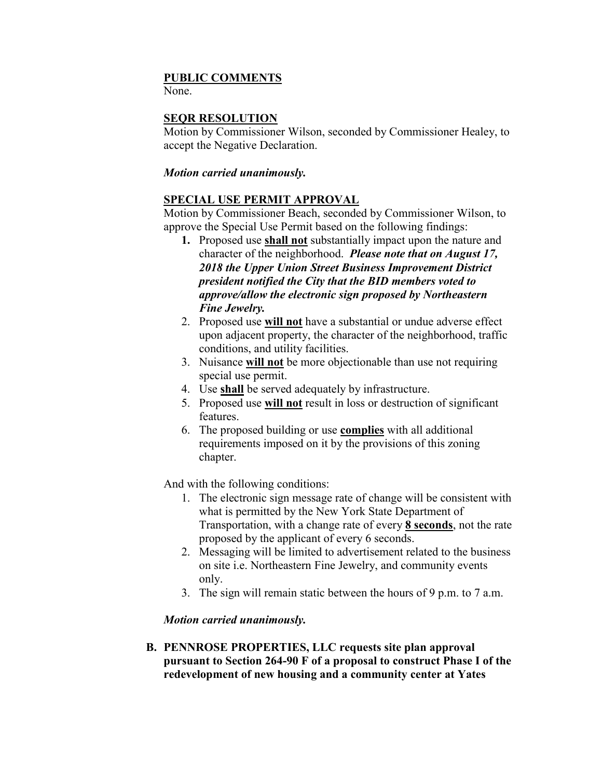#### PUBLIC COMMENTS

None.

### SEQR RESOLUTION

Motion by Commissioner Wilson, seconded by Commissioner Healey, to accept the Negative Declaration.

### *Motion carried unanimously.*

### SPECIAL USE PERMIT APPROVAL

Motion by Commissioner Beach, seconded by Commissioner Wilson, to approve the Special Use Permit based on the following findings:

- 1. Proposed use shall not substantially impact upon the nature and character of the neighborhood. *Please note that on August 17, 2018 the Upper Union Street Business Improvement District president notified the City that the BID members voted to approve/allow the electronic sign proposed by Northeastern Fine Jewelry.*
- 2. Proposed use will not have a substantial or undue adverse effect upon adjacent property, the character of the neighborhood, traffic conditions, and utility facilities.
- 3. Nuisance will not be more objectionable than use not requiring special use permit.
- 4. Use shall be served adequately by infrastructure.
- 5. Proposed use will not result in loss or destruction of significant features.
- 6. The proposed building or use complies with all additional requirements imposed on it by the provisions of this zoning chapter.

And with the following conditions:

- 1. The electronic sign message rate of change will be consistent with what is permitted by the New York State Department of Transportation, with a change rate of every 8 seconds, not the rate proposed by the applicant of every 6 seconds.
- 2. Messaging will be limited to advertisement related to the business on site i.e. Northeastern Fine Jewelry, and community events only.
- 3. The sign will remain static between the hours of 9 p.m. to 7 a.m.

### *Motion carried unanimously.*

B. PENNROSE PROPERTIES, LLC requests site plan approval pursuant to Section 264-90 F of a proposal to construct Phase I of the redevelopment of new housing and a community center at Yates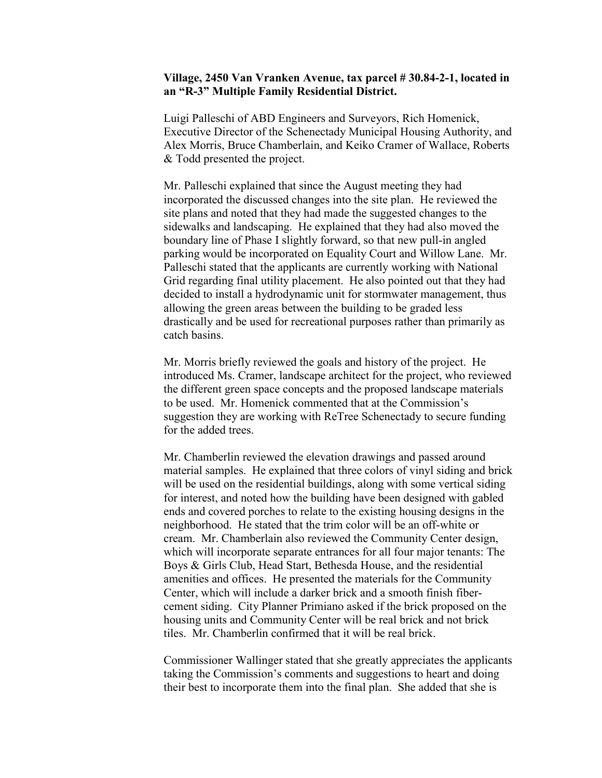#### Village, 2450 Van Vranken Avenue, tax parcel # 30.84-2-1, located in an "R-3" Multiple Family Residential District.

Luigi Palleschi of ABD Engineers and Surveyors, Rich Homenick, Executive Director of the Schenectady Municipal Housing Authority, and Alex Morris, Bruce Chamberlain, and Keiko Cramer of Wallace, Roberts & Todd presented the project.

Mr. Palleschi explained that since the August meeting they had incorporated the discussed changes into the site plan. He reviewed the site plans and noted that they had made the suggested changes to the sidewalks and landscaping. He explained that they had also moved the boundary line of Phase I slightly forward, so that new pull-in angled parking would be incorporated on Equality Court and Willow Lane. Mr. Palleschi stated that the applicants are currently working with National Grid regarding final utility placement. He also pointed out that they had decided to install a hydrodynamic unit for stormwater management, thus allowing the green areas between the building to be graded less drastically and be used for recreational purposes rather than primarily as catch basins.

Mr. Morris briefly reviewed the goals and history of the project. He introduced Ms. Cramer, landscape architect for the project, who reviewed the different green space concepts and the proposed landscape materials to be used. Mr. Homenick commented that at the Commission's suggestion they are working with ReTree Schenectady to secure funding for the added trees.

Mr. Chamberlin reviewed the elevation drawings and passed around material samples. He explained that three colors of vinyl siding and brick will be used on the residential buildings, along with some vertical siding for interest, and noted how the building have been designed with gabled ends and covered porches to relate to the existing housing designs in the neighborhood. He stated that the trim color will be an off-white or cream. Mr. Chamberlain also reviewed the Community Center design, which will incorporate separate entrances for all four major tenants: The Boys & Girls Club, Head Start, Bethesda House, and the residential amenities and offices. He presented the materials for the Community Center, which will include a darker brick and a smooth finish fibercement siding. City Planner Primiano asked if the brick proposed on the housing units and Community Center will be real brick and not brick tiles. Mr. Chamberlin confirmed that it will be real brick.

Commissioner Wallinger stated that she greatly appreciates the applicants taking the Commission's comments and suggestions to heart and doing their best to incorporate them into the final plan. She added that she is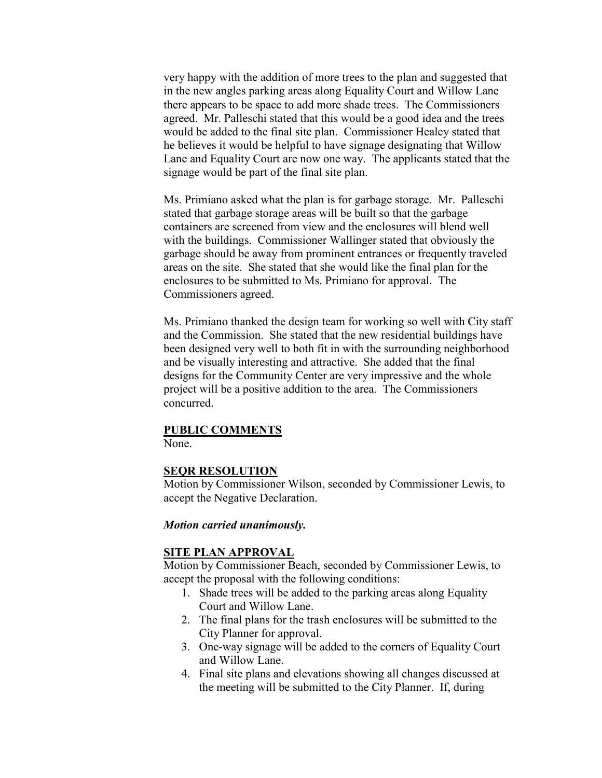very happy with the addition of more trees to the plan and suggested that in the new angles parking areas along Equality Court and Willow Lane there appears to be space to add more shade trees. The Commissioners agreed. Mr. Palleschi stated that this would be a good idea and the trees would be added to the final site plan. Commissioner Healey stated that he believes it would be helpful to have signage designating that Willow Lane and Equality Court are now one way. The applicants stated that the signage would be part of the final site plan.

Ms. Primiano asked what the plan is for garbage storage. Mr. Palleschi stated that garbage storage areas will be built so that the garbage containers are screened from view and the enclosures will blend well with the buildings. Commissioner Wallinger stated that obviously the garbage should be away from prominent entrances or frequently traveled areas on the site. She stated that she would like the final plan for the enclosures to be submitted to Ms. Primiano for approval. The Commissioners agreed.

Ms. Primiano thanked the design team for working so well with City staff and the Commission. She stated that the new residential buildings have been designed very well to both fit in with the surrounding neighborhood and be visually interesting and attractive. She added that the final designs for the Community Center are very impressive and the whole project will be a positive addition to the area. The Commissioners concurred.

#### PUBLIC COMMENTS

None.

#### SEQR RESOLUTION

Motion by Commissioner Wilson, seconded by Commissioner Lewis, to accept the Negative Declaration.

#### *Motion carried unanimously.*

#### SITE PLAN APPROVAL

Motion by Commissioner Beach, seconded by Commissioner Lewis, to accept the proposal with the following conditions:

- 1. Shade trees will be added to the parking areas along Equality Court and Willow Lane.
- 2. The final plans for the trash enclosures will be submitted to the City Planner for approval.
- 3. One-way signage will be added to the corners of Equality Court and Willow Lane.
- 4. Final site plans and elevations showing all changes discussed at the meeting will be submitted to the City Planner. If, during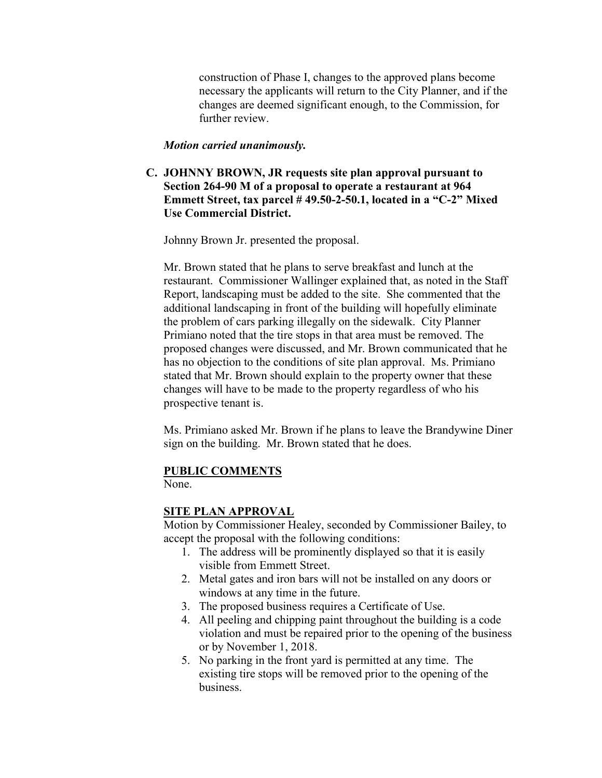construction of Phase I, changes to the approved plans become necessary the applicants will return to the City Planner, and if the changes are deemed significant enough, to the Commission, for further review.

#### *Motion carried unanimously.*

C. JOHNNY BROWN, JR requests site plan approval pursuant to Section 264-90 M of a proposal to operate a restaurant at 964 Emmett Street, tax parcel # 49.50-2-50.1, located in a "C-2" Mixed Use Commercial District.

Johnny Brown Jr. presented the proposal.

Mr. Brown stated that he plans to serve breakfast and lunch at the restaurant. Commissioner Wallinger explained that, as noted in the Staff Report, landscaping must be added to the site. She commented that the additional landscaping in front of the building will hopefully eliminate the problem of cars parking illegally on the sidewalk. City Planner Primiano noted that the tire stops in that area must be removed. The proposed changes were discussed, and Mr. Brown communicated that he has no objection to the conditions of site plan approval. Ms. Primiano stated that Mr. Brown should explain to the property owner that these changes will have to be made to the property regardless of who his prospective tenant is.

Ms. Primiano asked Mr. Brown if he plans to leave the Brandywine Diner sign on the building. Mr. Brown stated that he does.

#### PUBLIC COMMENTS

None.

#### SITE PLAN APPROVAL

Motion by Commissioner Healey, seconded by Commissioner Bailey, to accept the proposal with the following conditions:

- 1. The address will be prominently displayed so that it is easily visible from Emmett Street.
- 2. Metal gates and iron bars will not be installed on any doors or windows at any time in the future.
- 3. The proposed business requires a Certificate of Use.
- 4. All peeling and chipping paint throughout the building is a code violation and must be repaired prior to the opening of the business or by November 1, 2018.
- 5. No parking in the front yard is permitted at any time. The existing tire stops will be removed prior to the opening of the business.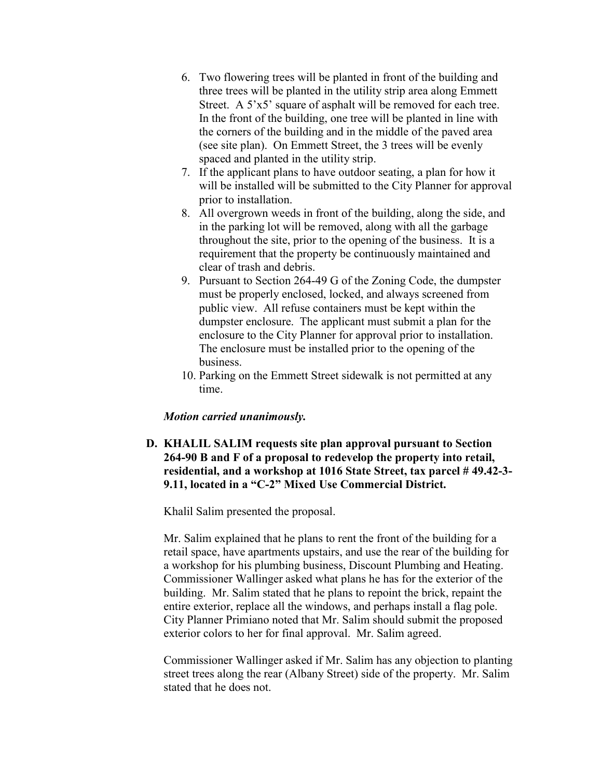- 6. Two flowering trees will be planted in front of the building and three trees will be planted in the utility strip area along Emmett Street. A 5'x5' square of asphalt will be removed for each tree. In the front of the building, one tree will be planted in line with the corners of the building and in the middle of the paved area (see site plan). On Emmett Street, the 3 trees will be evenly spaced and planted in the utility strip.
- 7. If the applicant plans to have outdoor seating, a plan for how it will be installed will be submitted to the City Planner for approval prior to installation.
- 8. All overgrown weeds in front of the building, along the side, and in the parking lot will be removed, along with all the garbage throughout the site, prior to the opening of the business. It is a requirement that the property be continuously maintained and clear of trash and debris.
- 9. Pursuant to Section 264-49 G of the Zoning Code, the dumpster must be properly enclosed, locked, and always screened from public view. All refuse containers must be kept within the dumpster enclosure. The applicant must submit a plan for the enclosure to the City Planner for approval prior to installation. The enclosure must be installed prior to the opening of the business.
- 10. Parking on the Emmett Street sidewalk is not permitted at any time.

#### *Motion carried unanimously.*

D. KHALIL SALIM requests site plan approval pursuant to Section 264-90 B and F of a proposal to redevelop the property into retail, residential, and a workshop at 1016 State Street, tax parcel # 49.42-3- 9.11, located in a "C-2" Mixed Use Commercial District.

Khalil Salim presented the proposal.

Mr. Salim explained that he plans to rent the front of the building for a retail space, have apartments upstairs, and use the rear of the building for a workshop for his plumbing business, Discount Plumbing and Heating. Commissioner Wallinger asked what plans he has for the exterior of the building. Mr. Salim stated that he plans to repoint the brick, repaint the entire exterior, replace all the windows, and perhaps install a flag pole. City Planner Primiano noted that Mr. Salim should submit the proposed exterior colors to her for final approval. Mr. Salim agreed.

Commissioner Wallinger asked if Mr. Salim has any objection to planting street trees along the rear (Albany Street) side of the property. Mr. Salim stated that he does not.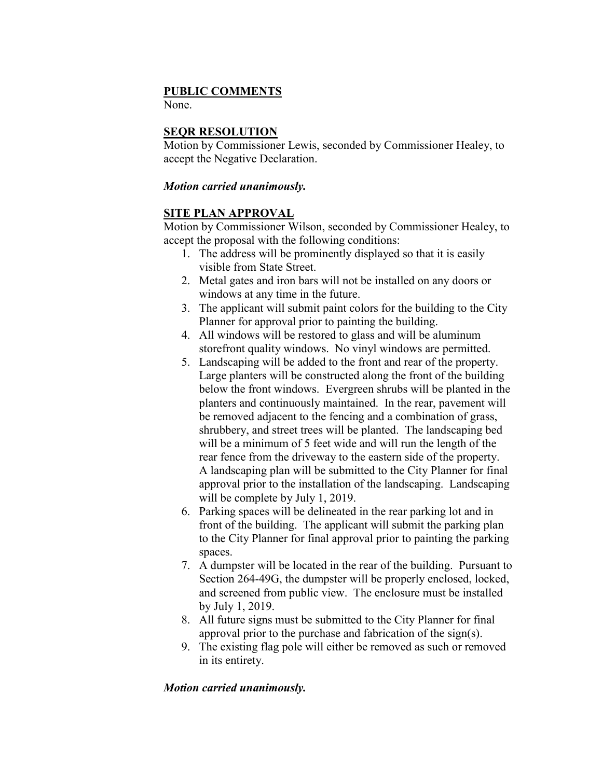### PUBLIC COMMENTS

None.

### SEQR RESOLUTION

Motion by Commissioner Lewis, seconded by Commissioner Healey, to accept the Negative Declaration.

### *Motion carried unanimously.*

### SITE PLAN APPROVAL

Motion by Commissioner Wilson, seconded by Commissioner Healey, to accept the proposal with the following conditions:

- 1. The address will be prominently displayed so that it is easily visible from State Street.
- 2. Metal gates and iron bars will not be installed on any doors or windows at any time in the future.
- 3. The applicant will submit paint colors for the building to the City Planner for approval prior to painting the building.
- 4. All windows will be restored to glass and will be aluminum storefront quality windows. No vinyl windows are permitted.
- 5. Landscaping will be added to the front and rear of the property. Large planters will be constructed along the front of the building below the front windows. Evergreen shrubs will be planted in the planters and continuously maintained. In the rear, pavement will be removed adjacent to the fencing and a combination of grass, shrubbery, and street trees will be planted. The landscaping bed will be a minimum of 5 feet wide and will run the length of the rear fence from the driveway to the eastern side of the property. A landscaping plan will be submitted to the City Planner for final approval prior to the installation of the landscaping. Landscaping will be complete by July 1, 2019.
- 6. Parking spaces will be delineated in the rear parking lot and in front of the building. The applicant will submit the parking plan to the City Planner for final approval prior to painting the parking spaces.
- 7. A dumpster will be located in the rear of the building. Pursuant to Section 264-49G, the dumpster will be properly enclosed, locked, and screened from public view. The enclosure must be installed by July 1, 2019.
- 8. All future signs must be submitted to the City Planner for final approval prior to the purchase and fabrication of the sign(s).
- 9. The existing flag pole will either be removed as such or removed in its entirety.

### *Motion carried unanimously.*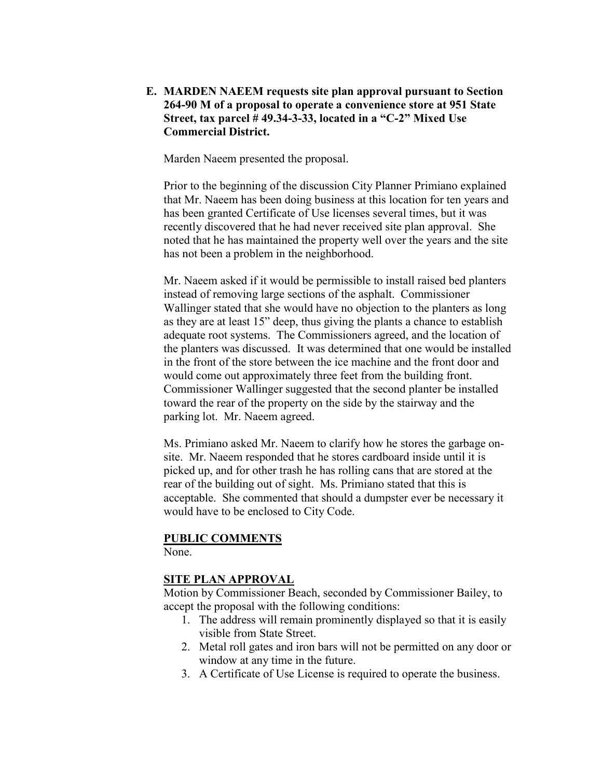### E. MARDEN NAEEM requests site plan approval pursuant to Section 264-90 M of a proposal to operate a convenience store at 951 State Street, tax parcel # 49.34-3-33, located in a "C-2" Mixed Use Commercial District.

Marden Naeem presented the proposal.

Prior to the beginning of the discussion City Planner Primiano explained that Mr. Naeem has been doing business at this location for ten years and has been granted Certificate of Use licenses several times, but it was recently discovered that he had never received site plan approval. She noted that he has maintained the property well over the years and the site has not been a problem in the neighborhood.

Mr. Naeem asked if it would be permissible to install raised bed planters instead of removing large sections of the asphalt. Commissioner Wallinger stated that she would have no objection to the planters as long as they are at least 15" deep, thus giving the plants a chance to establish adequate root systems. The Commissioners agreed, and the location of the planters was discussed. It was determined that one would be installed in the front of the store between the ice machine and the front door and would come out approximately three feet from the building front. Commissioner Wallinger suggested that the second planter be installed toward the rear of the property on the side by the stairway and the parking lot. Mr. Naeem agreed.

Ms. Primiano asked Mr. Naeem to clarify how he stores the garbage onsite. Mr. Naeem responded that he stores cardboard inside until it is picked up, and for other trash he has rolling cans that are stored at the rear of the building out of sight. Ms. Primiano stated that this is acceptable. She commented that should a dumpster ever be necessary it would have to be enclosed to City Code.

#### PUBLIC COMMENTS

None.

#### SITE PLAN APPROVAL

Motion by Commissioner Beach, seconded by Commissioner Bailey, to accept the proposal with the following conditions:

- 1. The address will remain prominently displayed so that it is easily visible from State Street.
- 2. Metal roll gates and iron bars will not be permitted on any door or window at any time in the future.
- 3. A Certificate of Use License is required to operate the business.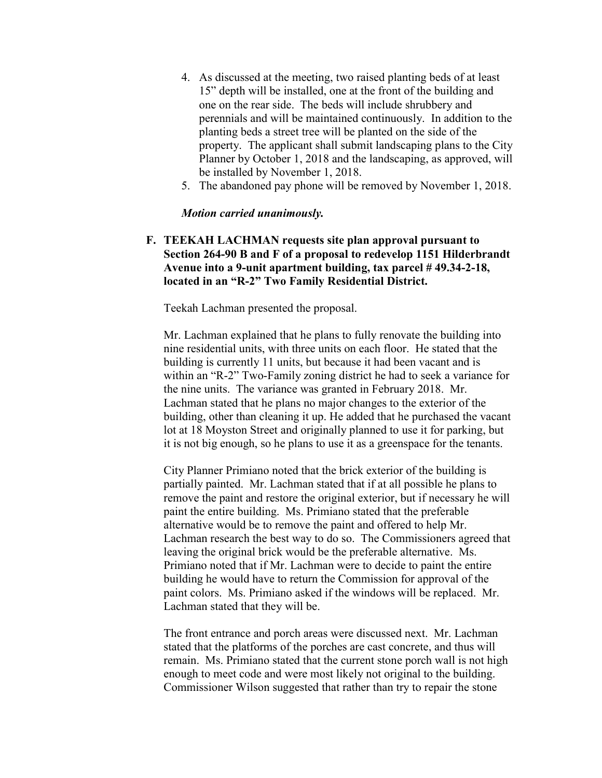- 4. As discussed at the meeting, two raised planting beds of at least 15" depth will be installed, one at the front of the building and one on the rear side. The beds will include shrubbery and perennials and will be maintained continuously. In addition to the planting beds a street tree will be planted on the side of the property. The applicant shall submit landscaping plans to the City Planner by October 1, 2018 and the landscaping, as approved, will be installed by November 1, 2018.
- 5. The abandoned pay phone will be removed by November 1, 2018.

#### *Motion carried unanimously.*

F. TEEKAH LACHMAN requests site plan approval pursuant to Section 264-90 B and F of a proposal to redevelop 1151 Hilderbrandt Avenue into a 9-unit apartment building, tax parcel # 49.34-2-18, located in an "R-2" Two Family Residential District.

Teekah Lachman presented the proposal.

Mr. Lachman explained that he plans to fully renovate the building into nine residential units, with three units on each floor. He stated that the building is currently 11 units, but because it had been vacant and is within an "R-2" Two-Family zoning district he had to seek a variance for the nine units. The variance was granted in February 2018. Mr. Lachman stated that he plans no major changes to the exterior of the building, other than cleaning it up. He added that he purchased the vacant lot at 18 Moyston Street and originally planned to use it for parking, but it is not big enough, so he plans to use it as a greenspace for the tenants.

City Planner Primiano noted that the brick exterior of the building is partially painted. Mr. Lachman stated that if at all possible he plans to remove the paint and restore the original exterior, but if necessary he will paint the entire building. Ms. Primiano stated that the preferable alternative would be to remove the paint and offered to help Mr. Lachman research the best way to do so. The Commissioners agreed that leaving the original brick would be the preferable alternative. Ms. Primiano noted that if Mr. Lachman were to decide to paint the entire building he would have to return the Commission for approval of the paint colors. Ms. Primiano asked if the windows will be replaced. Mr. Lachman stated that they will be.

The front entrance and porch areas were discussed next. Mr. Lachman stated that the platforms of the porches are cast concrete, and thus will remain. Ms. Primiano stated that the current stone porch wall is not high enough to meet code and were most likely not original to the building. Commissioner Wilson suggested that rather than try to repair the stone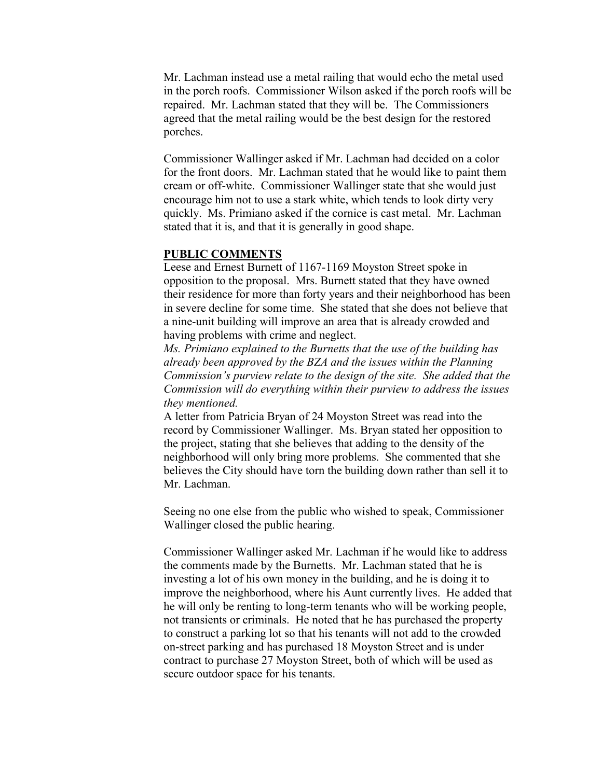Mr. Lachman instead use a metal railing that would echo the metal used in the porch roofs. Commissioner Wilson asked if the porch roofs will be repaired. Mr. Lachman stated that they will be. The Commissioners agreed that the metal railing would be the best design for the restored porches.

Commissioner Wallinger asked if Mr. Lachman had decided on a color for the front doors. Mr. Lachman stated that he would like to paint them cream or off-white. Commissioner Wallinger state that she would just encourage him not to use a stark white, which tends to look dirty very quickly. Ms. Primiano asked if the cornice is cast metal. Mr. Lachman stated that it is, and that it is generally in good shape.

#### PUBLIC COMMENTS

Leese and Ernest Burnett of 1167-1169 Moyston Street spoke in opposition to the proposal. Mrs. Burnett stated that they have owned their residence for more than forty years and their neighborhood has been in severe decline for some time. She stated that she does not believe that a nine-unit building will improve an area that is already crowded and having problems with crime and neglect.

*Ms. Primiano explained to the Burnetts that the use of the building has already been approved by the BZA and the issues within the Planning Commission's purview relate to the design of the site. She added that the Commission will do everything within their purview to address the issues they mentioned.*

A letter from Patricia Bryan of 24 Moyston Street was read into the record by Commissioner Wallinger. Ms. Bryan stated her opposition to the project, stating that she believes that adding to the density of the neighborhood will only bring more problems. She commented that she believes the City should have torn the building down rather than sell it to Mr. Lachman.

Seeing no one else from the public who wished to speak, Commissioner Wallinger closed the public hearing.

Commissioner Wallinger asked Mr. Lachman if he would like to address the comments made by the Burnetts. Mr. Lachman stated that he is investing a lot of his own money in the building, and he is doing it to improve the neighborhood, where his Aunt currently lives. He added that he will only be renting to long-term tenants who will be working people, not transients or criminals. He noted that he has purchased the property to construct a parking lot so that his tenants will not add to the crowded on-street parking and has purchased 18 Moyston Street and is under contract to purchase 27 Moyston Street, both of which will be used as secure outdoor space for his tenants.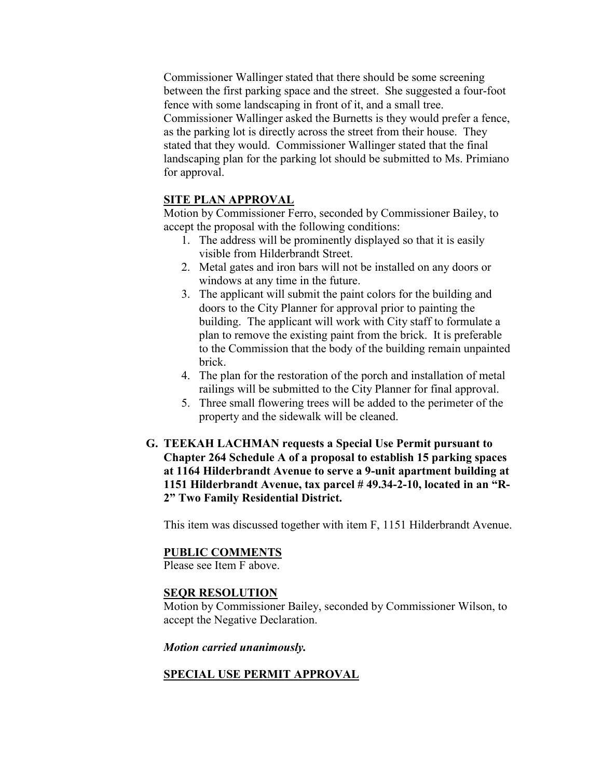Commissioner Wallinger stated that there should be some screening between the first parking space and the street. She suggested a four-foot fence with some landscaping in front of it, and a small tree. Commissioner Wallinger asked the Burnetts is they would prefer a fence, as the parking lot is directly across the street from their house. They stated that they would. Commissioner Wallinger stated that the final landscaping plan for the parking lot should be submitted to Ms. Primiano for approval.

### SITE PLAN APPROVAL

Motion by Commissioner Ferro, seconded by Commissioner Bailey, to accept the proposal with the following conditions:

- 1. The address will be prominently displayed so that it is easily visible from Hilderbrandt Street.
- 2. Metal gates and iron bars will not be installed on any doors or windows at any time in the future.
- 3. The applicant will submit the paint colors for the building and doors to the City Planner for approval prior to painting the building. The applicant will work with City staff to formulate a plan to remove the existing paint from the brick. It is preferable to the Commission that the body of the building remain unpainted brick.
- 4. The plan for the restoration of the porch and installation of metal railings will be submitted to the City Planner for final approval.
- 5. Three small flowering trees will be added to the perimeter of the property and the sidewalk will be cleaned.
- G. TEEKAH LACHMAN requests a Special Use Permit pursuant to Chapter 264 Schedule A of a proposal to establish 15 parking spaces at 1164 Hilderbrandt Avenue to serve a 9-unit apartment building at 1151 Hilderbrandt Avenue, tax parcel # 49.34-2-10, located in an "R-2" Two Family Residential District.

This item was discussed together with item F, 1151 Hilderbrandt Avenue.

#### PUBLIC COMMENTS

Please see Item F above.

#### SEQR RESOLUTION

Motion by Commissioner Bailey, seconded by Commissioner Wilson, to accept the Negative Declaration.

#### *Motion carried unanimously.*

### SPECIAL USE PERMIT APPROVAL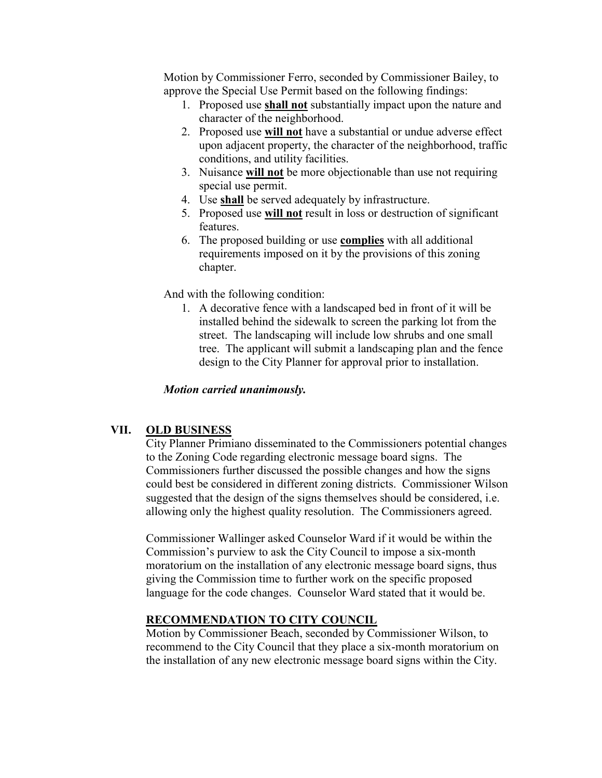Motion by Commissioner Ferro, seconded by Commissioner Bailey, to approve the Special Use Permit based on the following findings:

- 1. Proposed use shall not substantially impact upon the nature and character of the neighborhood.
- 2. Proposed use will not have a substantial or undue adverse effect upon adjacent property, the character of the neighborhood, traffic conditions, and utility facilities.
- 3. Nuisance will not be more objectionable than use not requiring special use permit.
- 4. Use shall be served adequately by infrastructure.
- 5. Proposed use will not result in loss or destruction of significant features.
- 6. The proposed building or use complies with all additional requirements imposed on it by the provisions of this zoning chapter.

And with the following condition:

1. A decorative fence with a landscaped bed in front of it will be installed behind the sidewalk to screen the parking lot from the street. The landscaping will include low shrubs and one small tree. The applicant will submit a landscaping plan and the fence design to the City Planner for approval prior to installation.

### *Motion carried unanimously.*

#### VII. OLD BUSINESS

City Planner Primiano disseminated to the Commissioners potential changes to the Zoning Code regarding electronic message board signs. The Commissioners further discussed the possible changes and how the signs could best be considered in different zoning districts. Commissioner Wilson suggested that the design of the signs themselves should be considered, i.e. allowing only the highest quality resolution. The Commissioners agreed.

Commissioner Wallinger asked Counselor Ward if it would be within the Commission's purview to ask the City Council to impose a six-month moratorium on the installation of any electronic message board signs, thus giving the Commission time to further work on the specific proposed language for the code changes. Counselor Ward stated that it would be.

### RECOMMENDATION TO CITY COUNCIL

Motion by Commissioner Beach, seconded by Commissioner Wilson, to recommend to the City Council that they place a six-month moratorium on the installation of any new electronic message board signs within the City.